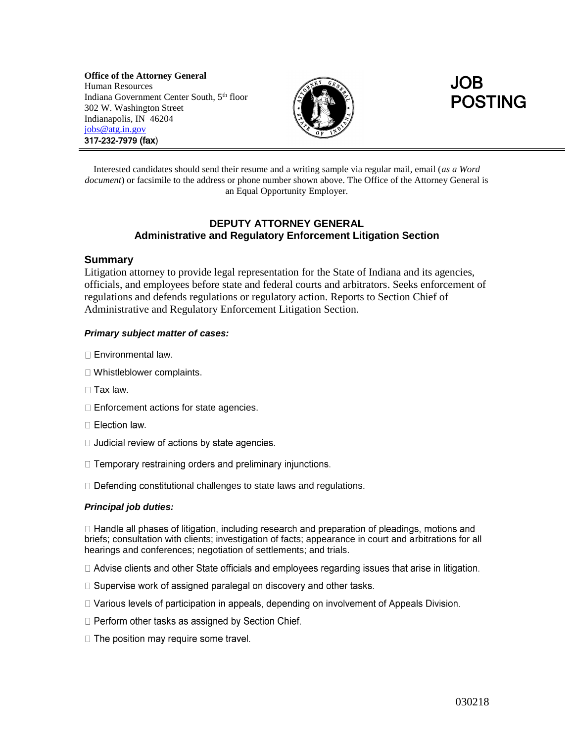**Office of the Attorney General** Human Resources Indiana Government Center South, 5<sup>th</sup> floor 302 W. Washington Street Indianapolis, IN 46204 [jobs@atg.in.gov](mailto:jobs@atg.in.gov) 317-232-7979 (fax)





Interested candidates should send their resume and a writing sample via regular mail, email (*as a Word document*) or facsimile to the address or phone number shown above. The Office of the Attorney General is an Equal Opportunity Employer.

# **DEPUTY ATTORNEY GENERAL Administrative and Regulatory Enforcement Litigation Section**

## **Summary**

Litigation attorney to provide legal representation for the State of Indiana and its agencies, officials, and employees before state and federal courts and arbitrators. Seeks enforcement of regulations and defends regulations or regulatory action. Reports to Section Chief of Administrative and Regulatory Enforcement Litigation Section.

## *Primary subject matter of cases:*

- □ Environmental law.
- Whistleblower complaints.
- $\Box$  Tax law.
- □ Enforcement actions for state agencies.
- $\Box$  Election law.
- □ Judicial review of actions by state agencies.
- □ Temporary restraining orders and preliminary injunctions.
- $\Box$  Defending constitutional challenges to state laws and regulations.

## *Principal job duties:*

 $\Box$  Handle all phases of litigation, including research and preparation of pleadings, motions and briefs; consultation with clients; investigation of facts; appearance in court and arbitrations for all hearings and conferences; negotiation of settlements; and trials.

 $\Box$  Advise clients and other State officials and employees regarding issues that arise in litigation.

- □ Supervise work of assigned paralegal on discovery and other tasks.
- □ Various levels of participation in appeals, depending on involvement of Appeals Division.
- □ Perform other tasks as assigned by Section Chief.
- □ The position may require some travel.